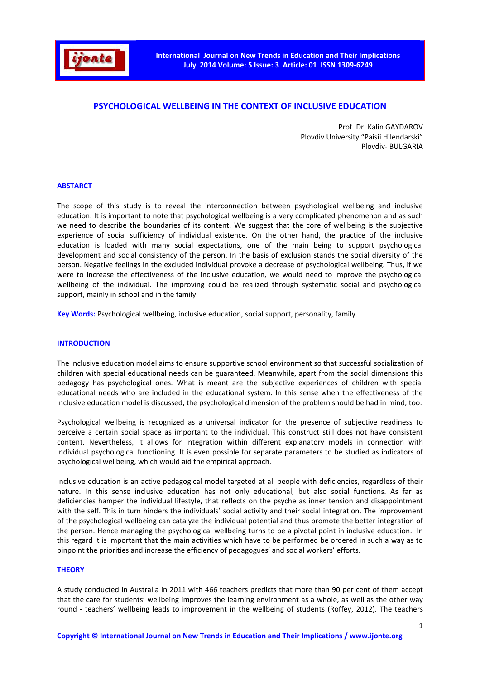

# **PSYCHOLOGICAL WELLBEING IN THE CONTEXT OF INCLUSIVE EDUCATION**

Prof. Dr. Kalin GAYDAROV Plovdiv University "Paisii Hilendarski" Plovdiv- BULGARIA

## **ABSTARCT**

The scope of this study is to reveal the interconnection between psychological wellbeing and inclusive education. It is important to note that psychological wellbeing is a very complicated phenomenon and as such we need to describe the boundaries of its content. We suggest that the core of wellbeing is the subjective experience of social sufficiency of individual existence. On the other hand, the practice of the inclusive education is loaded with many social expectations, one of the main being to support psychological development and social consistency of the person. In the basis of exclusion stands the social diversity of the person. Negative feelings in the excluded individual provoke a decrease of psychological wellbeing. Thus, if we were to increase the effectiveness of the inclusive education, we would need to improve the psychological wellbeing of the individual. The improving could be realized through systematic social and psychological support, mainly in school and in the family.

**Key Words:** Psychological wellbeing, inclusive education, social support, personality, family.

#### **INTRODUCTION**

The inclusive education model aims to ensure supportive school environment so that successful socialization of children with special educational needs can be guaranteed. Meanwhile, apart from the social dimensions this pedagogy has psychological ones. What is meant are the subjective experiences of children with special educational needs who are included in the educational system. In this sense when the effectiveness of the inclusive education model is discussed, the psychological dimension of the problem should be had in mind, too.

Psychological wellbeing is recognized as a universal indicator for the presence of subjective readiness to perceive a certain social space as important to the individual. This construct still does not have consistent content. Nevertheless, it allows for integration within different explanatory models in connection with individual psychological functioning. It is even possible for separate parameters to be studied as indicators of psychological wellbeing, which would aid the empirical approach.

Inclusive education is an active pedagogical model targeted at all people with deficiencies, regardless of their nature. In this sense inclusive education has not only educational, but also social functions. As far as deficiencies hamper the individual lifestyle, that reflects on the psyche as inner tension and disappointment with the self. This in turn hinders the individuals' social activity and their social integration. The improvement of the psychological wellbeing can catalyze the individual potential and thus promote the better integration of the person. Hence managing the psychological wellbeing turns to be a pivotal point in inclusive education. In this regard it is important that the main activities which have to be performed be ordered in such a way as to pinpoint the priorities and increase the efficiency of pedagogues' and social workers' efforts.

#### **THEORY**

A study conducted in Australia in 2011 with 466 teachers predicts that more than 90 per cent of them accept that the care for students' wellbeing improves the learning environment as a whole, as well as the other way round - teachers' wellbeing leads to improvement in the wellbeing of students (Roffey, 2012). The teachers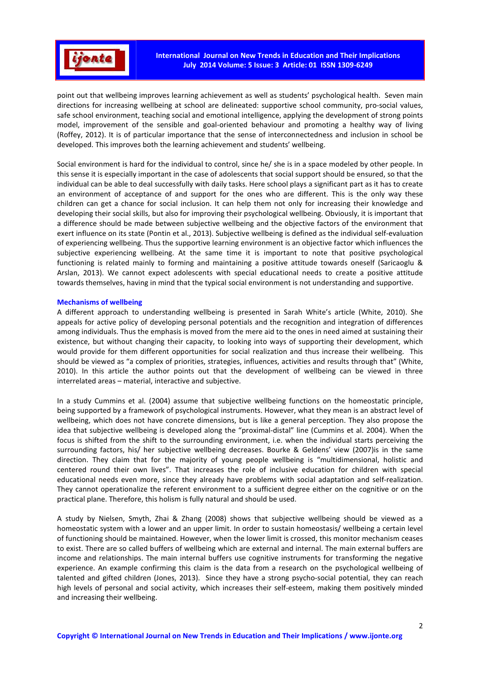

point out that wellbeing improves learning achievement as well as students' psychological health. Seven main directions for increasing wellbeing at school are delineated: supportive school community, pro-social values, safe school environment, teaching social and emotional intelligence, applying the development of strong points model, improvement of the sensible and goal-oriented behaviour and promoting a healthy way of living (Roffey, 2012). It is of particular importance that the sense of interconnectedness and inclusion in school be developed. This improves both the learning achievement and students' wellbeing.

Social environment is hard for the individual to control, since he/ she is in a space modeled by other people. In this sense it is especially important in the case of adolescents that social support should be ensured, so that the individual can be able to deal successfully with daily tasks. Here school plays a significant part as it has to create an environment of acceptance of and support for the ones who are different. This is the only way these children can get a chance for social inclusion. It can help them not only for increasing their knowledge and developing their social skills, but also for improving their psychological wellbeing. Obviously, it is important that a difference should be made between subjective wellbeing and the objective factors of the environment that exert influence on its state (Pontin et al., 2013). Subjective wellbeing is defined as the individual self-evaluation of experiencing wellbeing. Thus the supportive learning environment is an objective factor which influences the subjective experiencing wellbeing. At the same time it is important to note that positive psychological functioning is related mainly to forming and maintaining a positive attitude towards oneself (Saricaoglu & Arslan, 2013). We cannot expect adolescents with special educational needs to create a positive attitude towards themselves, having in mind that the typical social environment is not understanding and supportive.

## **Mechanisms of wellbeing**

A different approach to understanding wellbeing is presented in Sarah White's article (White, 2010). She appeals for active policy of developing personal potentials and the recognition and integration of differences among individuals. Thus the emphasis is moved from the mere aid to the ones in need aimed at sustaining their existence, but without changing their capacity, to looking into ways of supporting their development, which would provide for them different opportunities for social realization and thus increase their wellbeing. This should be viewed as "a complex of priorities, strategies, influences, activities and results through that" (White, 2010). In this article the author points out that the development of wellbeing can be viewed in three interrelated areas – material, interactive and subjective.

In a study Cummins et al. (2004) assume that subjective wellbeing functions on the homeostatic principle, being supported by a framework of psychological instruments. However, what they mean is an abstract level of wellbeing, which does not have concrete dimensions, but is like a general perception. They also propose the idea that subjective wellbeing is developed along the "proximal-distal" line (Cummins et al. 2004). When the focus is shifted from the shift to the surrounding environment, i.e. when the individual starts perceiving the surrounding factors, his/ her subjective wellbeing decreases. Bourke & Geldens' view (2007)is in the same direction. They claim that for the majority of young people wellbeing is "multidimensional, holistic and centered round their own lives". That increases the role of inclusive education for children with special educational needs even more, since they already have problems with social adaptation and self-realization. They cannot operationalize the referent environment to a sufficient degree either on the cognitive or on the practical plane. Therefore, this holism is fully natural and should be used.

A study by Nielsen, Smyth, Zhai & Zhang (2008) shows that subjective wellbeing should be viewed as a homeostatic system with a lower and an upper limit. In order to sustain homeostasis/ wellbeing a certain level of functioning should be maintained. However, when the lower limit is crossed, this monitor mechanism ceases to exist. There are so called buffers of wellbeing which are external and internal. The main external buffers are income and relationships. The main internal buffers use cognitive instruments for transforming the negative experience. An example confirming this claim is the data from a research on the psychological wellbeing of talented and gifted children (Jones, 2013). Since they have a strong psycho-social potential, they can reach high levels of personal and social activity, which increases their self-esteem, making them positively minded and increasing their wellbeing.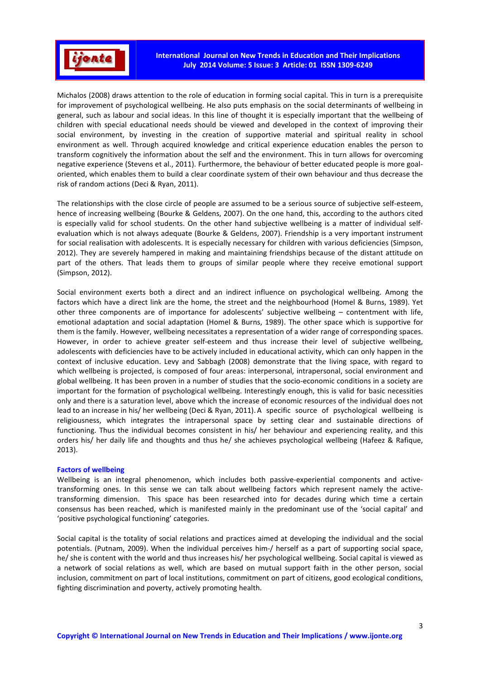

Michalos (2008) draws attention to the role of education in forming social capital. This in turn is a prerequisite for improvement of psychological wellbeing. He also puts emphasis on the social determinants of wellbeing in general, such as labour and social ideas. In this line of thought it is especially important that the wellbeing of children with special educational needs should be viewed and developed in the context of improving their social environment, by investing in the creation of supportive material and spiritual reality in school environment as well. Through acquired knowledge and critical experience education enables the person to transform cognitively the information about the self and the environment. This in turn allows for overcoming negative experience (Stevens et al., 2011). Furthermore, the behaviour of better educated people is more goaloriented, which enables them to build a clear coordinate system of their own behaviour and thus decrease the risk of random actions (Deci & Ryan, 2011).

The relationships with the close circle of people are assumed to be a serious source of subjective self-esteem, hence of increasing wellbeing (Bourke & Geldens, 2007). On the one hand, this, according to the authors cited is especially valid for school students. On the other hand subjective wellbeing is a matter of individual selfevaluation which is not always adequate (Bourke & Geldens, 2007). Friendship is a very important instrument for social realisation with adolescents. It is especially necessary for children with various deficiencies (Simpson, 2012). They are severely hampered in making and maintaining friendships because of the distant attitude on part of the others. That leads them to groups of similar people where they receive emotional support (Simpson, 2012).

Social environment exerts both a direct and an indirect influence on psychological wellbeing. Among the factors which have a direct link are the home, the street and the neighbourhood (Homel & Burns, 1989). Yet other three components are of importance for adolescents' subjective wellbeing – contentment with life, emotional adaptation and social adaptation (Homel & Burns, 1989). The other space which is supportive for them is the family. However, wellbeing necessitates a representation of a wider range of corresponding spaces. However, in order to achieve greater self-esteem and thus increase their level of subjective wellbeing, adolescents with deficiencies have to be actively included in educational activity, which can only happen in the context of inclusive education. Levy and Sabbagh (2008) demonstrate that the living space, with regard to which wellbeing is projected, is composed of four areas: interpersonal, intrapersonal, social environment and global wellbeing. It has been proven in a number of studies that the socio-economic conditions in a society are important for the formation of psychological wellbeing. Interestingly enough, this is valid for basic necessities only and there is a saturation level, above which the increase of economic resources of the individual does not lead to an increase in his/ her wellbeing (Deci & Ryan, 2011). A specific source of psychological wellbeing is religiousness, which integrates the intrapersonal space by setting clear and sustainable directions of functioning. Thus the individual becomes consistent in his/ her behaviour and experiencing reality, and this orders his/ her daily life and thoughts and thus he/ she achieves psychological wellbeing (Hafeez & Rafique, 2013).

#### **Factors of wellbeing**

Wellbeing is an integral phenomenon, which includes both passive-experiential components and activetransforming ones. In this sense we can talk about wellbeing factors which represent namely the activetransforming dimension. This space has been researched into for decades during which time a certain consensus has been reached, which is manifested mainly in the predominant use of the 'social capital' and 'positive psychological functioning' categories.

Social capital is the totality of social relations and practices aimed at developing the individual and the social potentials. (Putnam, 2009). When the individual perceives him-/ herself as a part of supporting social space, he/ she is content with the world and thus increases his/ her psychological wellbeing. Social capital is viewed as a network of social relations as well, which are based on mutual support faith in the other person, social inclusion, commitment on part of local institutions, commitment on part of citizens, good ecological conditions, fighting discrimination and poverty, actively promoting health.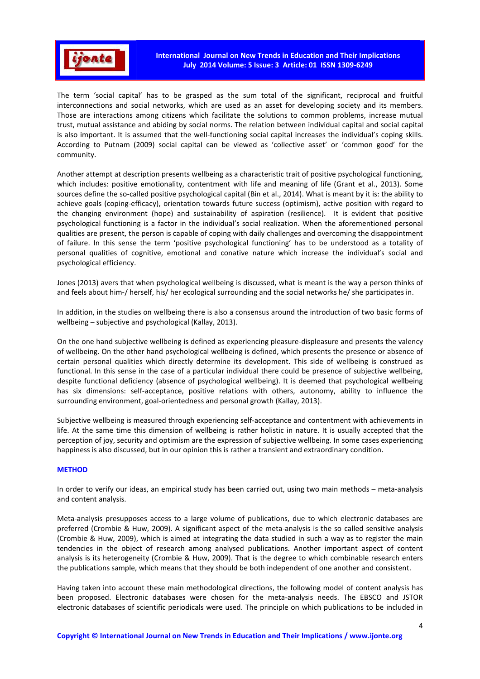

The term 'social capital' has to be grasped as the sum total of the significant, reciprocal and fruitful interconnections and social networks, which are used as an asset for developing society and its members. Those are interactions among citizens which facilitate the solutions to common problems, increase mutual trust, mutual assistance and abiding by social norms. The relation between individual capital and social capital is also important. It is assumed that the well-functioning social capital increases the individual's coping skills. According to Putnam (2009) social capital can be viewed as 'collective asset' or 'common good' for the community.

Another attempt at description presents wellbeing as a characteristic trait of positive psychological functioning, which includes: positive emotionality, contentment with life and meaning of life (Grant et al., 2013). Some sources define the so-called positive psychological capital (Bin et al., 2014). What is meant by it is: the ability to achieve goals (coping-efficacy), orientation towards future success (optimism), active position with regard to the changing environment (hope) and sustainability of aspiration (resilience). It is evident that positive psychological functioning is a factor in the individual's social realization. When the aforementioned personal qualities are present, the person is capable of coping with daily challenges and overcoming the disappointment of failure. In this sense the term 'positive psychological functioning' has to be understood as a totality of personal qualities of cognitive, emotional and conative nature which increase the individual's social and psychological efficiency.

Jones (2013) avers that when psychological wellbeing is discussed, what is meant is the way a person thinks of and feels about him-/ herself, his/ her ecological surrounding and the social networks he/ she participates in.

In addition, in the studies on wellbeing there is also a consensus around the introduction of two basic forms of wellbeing – subjective and psychological (Kallay, 2013).

On the one hand subjective wellbeing is defined as experiencing pleasure-displeasure and presents the valency of wellbeing. On the other hand psychological wellbeing is defined, which presents the presence or absence of certain personal qualities which directly determine its development. This side of wellbeing is construed as functional. In this sense in the case of a particular individual there could be presence of subjective wellbeing, despite functional deficiency (absence of psychological wellbeing). It is deemed that psychological wellbeing has six dimensions: self-acceptance, positive relations with others, autonomy, ability to influence the surrounding environment, goal-orientedness and personal growth (Kallay, 2013).

Subjective wellbeing is measured through experiencing self-acceptance and contentment with achievements in life. At the same time this dimension of wellbeing is rather holistic in nature. It is usually accepted that the perception of joy, security and optimism are the expression of subjective wellbeing. In some cases experiencing happiness is also discussed, but in our opinion this is rather a transient and extraordinary condition.

## **METHOD**

In order to verify our ideas, an empirical study has been carried out, using two main methods – meta-analysis and content analysis.

Meta-analysis presupposes access to a large volume of publications, due to which electronic databases are preferred (Crombie & Huw, 2009). A significant aspect of the meta-analysis is the so called sensitive analysis (Crombie & Huw, 2009), which is aimed at integrating the data studied in such a way as to register the main tendencies in the object of research among analysed publications. Another important aspect of content analysis is its heterogeneity (Crombie & Huw, 2009). That is the degree to which combinable research enters the publications sample, which means that they should be both independent of one another and consistent.

Having taken into account these main methodological directions, the following model of content analysis has been proposed. Electronic databases were chosen for the meta-analysis needs. The EBSCO and JSTOR electronic databases of scientific periodicals were used. The principle on which publications to be included in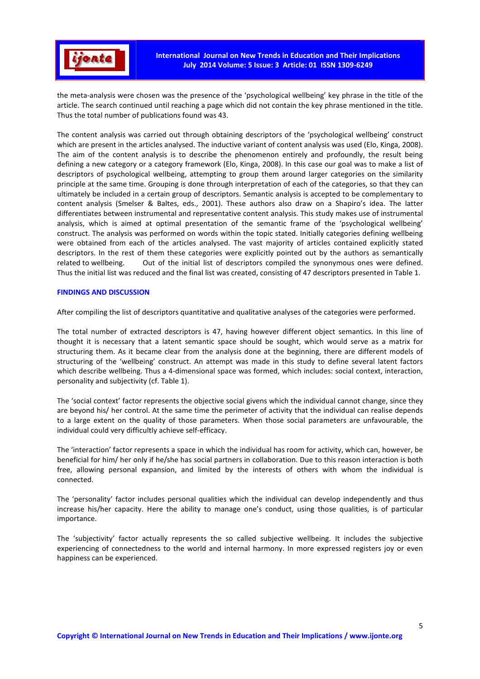

the meta-analysis were chosen was the presence of the 'psychological wellbeing' key phrase in the title of the article. The search continued until reaching a page which did not contain the key phrase mentioned in the title. Thus the total number of publications found was 43.

The content analysis was carried out through obtaining descriptors of the 'psychological wellbeing' construct which are present in the articles analysed. The inductive variant of content analysis was used (Elo, Kinga, 2008). The aim of the content analysis is to describe the phenomenon entirely and profoundly, the result being defining a new category or a category framework (Elo, Kinga, 2008). In this case our goal was to make a list of descriptors of psychological wellbeing, attempting to group them around larger categories on the similarity principle at the same time. Grouping is done through interpretation of each of the categories, so that they can ultimately be included in a certain group of descriptors. Semantic analysis is accepted to be complementary to content analysis (Smelser & Baltes, eds., 2001). These authors also draw on a Shapiro's idea. The latter differentiates between instrumental and representative content analysis. This study makes use of instrumental analysis, which is aimed at optimal presentation of the semantic frame of the 'psychological wellbeing' construct. The analysis was performed on words within the topic stated. Initially categories defining wellbeing were obtained from each of the articles analysed. The vast majority of articles contained explicitly stated descriptors. In the rest of them these categories were explicitly pointed out by the authors as semantically related to wellbeing. Out of the initial list of descriptors compiled the synonymous ones were defined. Thus the initial list was reduced and the final list was created, consisting of 47 descriptors presented in Table 1.

## **FINDINGS AND DISCUSSION**

After compiling the list of descriptors quantitative and qualitative analyses of the categories were performed.

The total number of extracted descriptors is 47, having however different object semantics. In this line of thought it is necessary that a latent semantic space should be sought, which would serve as a matrix for structuring them. As it became clear from the analysis done at the beginning, there are different models of structuring of the 'wellbeing' construct. An attempt was made in this study to define several latent factors which describe wellbeing. Thus a 4-dimensional space was formed, which includes: social context, interaction, personality and subjectivity (cf. Table 1).

The 'social context' factor represents the objective social givens which the individual cannot change, since they are beyond his/ her control. At the same time the perimeter of activity that the individual can realise depends to a large extent on the quality of those parameters. When those social parameters are unfavourable, the individual could very difficultly achieve self-efficacy.

The 'interaction' factor represents a space in which the individual has room for activity, which can, however, be beneficial for him/ her only if he/she has social partners in collaboration. Due to this reason interaction is both free, allowing personal expansion, and limited by the interests of others with whom the individual is connected.

The 'personality' factor includes personal qualities which the individual can develop independently and thus increase his/her capacity. Here the ability to manage one's conduct, using those qualities, is of particular importance.

The 'subjectivity' factor actually represents the so called subjective wellbeing. It includes the subjective experiencing of connectedness to the world and internal harmony. In more expressed registers joy or even happiness can be experienced.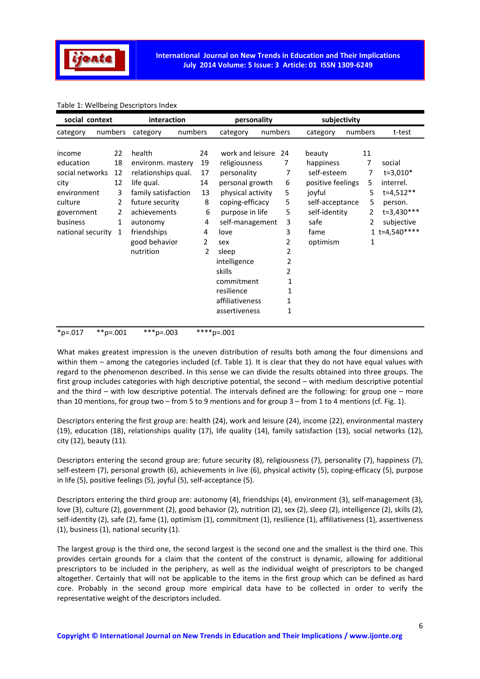

# Table 1: Wellbeing Descriptors Index

| social context    |         |                 | interaction         |   |                 | personality       |         |                 | subjectivity      |         |         |                |
|-------------------|---------|-----------------|---------------------|---|-----------------|-------------------|---------|-----------------|-------------------|---------|---------|----------------|
| category          | numbers |                 | numbers<br>category |   |                 | category          | numbers |                 | category          | numbers |         | t-test         |
|                   |         |                 |                     |   |                 |                   |         |                 |                   |         |         |                |
| income            |         | 22              | health              |   | 24              | work and leisure  |         | 24              | beauty            |         | 11      |                |
| education         |         | 18              | environm. mastery   |   | 19              | religiousness     |         | 7               | happiness         |         | 7       | social         |
| social networks   |         | 12              | relationships qual. |   | 17              | personality       |         | 7               | self-esteem       |         | 7       | $t=3,010*$     |
| city              |         | 12              | life qual.          |   | 14              | personal growth   |         | 6               | positive feelings |         | 5       | interrel.      |
| environment       |         | 3               | family satisfaction |   | 13              | physical activity |         | 5               | joyful            |         | 5       | $t = 4,512**$  |
| culture<br>2      |         | future security |                     | 8 | coping-efficacy |                   | 5       | self-acceptance |                   | 5       | person. |                |
| government        |         | 2               | achievements        |   | 6               | purpose in life   |         | 5               | self-identity     |         | 2       | t=3,430***     |
| business          |         | 1               | autonomy            |   | 4               | self-management   |         | 3               | safe              |         | 2       | subjective     |
| national security |         | 1               | friendships         |   | 4               | love              |         | 3               | fame              |         |         | $1 t=4,540***$ |
|                   |         |                 | good behavior       |   | 2               | sex               |         | 2               | optimism          |         | 1       |                |
|                   |         |                 | nutrition           |   | 2               | sleep             |         | 2               |                   |         |         |                |
|                   |         |                 |                     |   |                 | intelligence      |         | 2               |                   |         |         |                |
|                   |         |                 |                     |   |                 | skills            |         | 2               |                   |         |         |                |
|                   |         |                 |                     |   |                 | commitment        |         | 1               |                   |         |         |                |
|                   |         |                 |                     |   |                 | resilience        |         | 1               |                   |         |         |                |
|                   |         |                 |                     |   |                 | affiliativeness   |         | 1               |                   |         |         |                |
|                   |         |                 |                     |   |                 | assertiveness     |         | 1               |                   |         |         |                |
| $*_{p=.017}$      |         | **p=.001        | ***p=.003           |   |                 | $***p=.001$       |         |                 |                   |         |         |                |

What makes greatest impression is the uneven distribution of results both among the four dimensions and within them – among the categories included (cf. Table 1). It is clear that they do not have equal values with regard to the phenomenon described. In this sense we can divide the results obtained into three groups. The first group includes categories with high descriptive potential, the second – with medium descriptive potential and the third – with low descriptive potential. The intervals defined are the following: for group one – more than 10 mentions, for group two – from 5 to 9 mentions and for group 3 – from 1 to 4 mentions (cf. Fig. 1).

Descriptors entering the first group are: health (24), work and leisure (24), income (22), environmental mastery (19), education (18), relationships quality (17), life quality (14), family satisfaction (13), social networks (12), city (12), beauty (11).

Descriptors entering the second group are: future security (8), religiousness (7), personality (7), happiness (7), self-esteem (7), personal growth (6), achievements in live (6), physical activity (5), coping-efficacy (5), purpose in life (5), positive feelings (5), joyful (5), self-acceptance (5).

Descriptors entering the third group are: autonomy (4), friendships (4), environment (3), self-management (3), love (3), culture (2), government (2), good behavior (2), nutrition (2), sex (2), sleep (2), intelligence (2), skills (2), self-identity (2), safe (2), fame (1), optimism (1), commitment (1), resilience (1), affiliativeness (1), assertiveness (1), business (1), national security (1).

The largest group is the third one, the second largest is the second one and the smallest is the third one. This provides certain grounds for a claim that the content of the construct is dynamic, allowing for additional prescriptors to be included in the periphery, as well as the individual weight of prescriptors to be changed altogether. Certainly that will not be applicable to the items in the first group which can be defined as hard core. Probably in the second group more empirical data have to be collected in order to verify the representative weight of the descriptors included.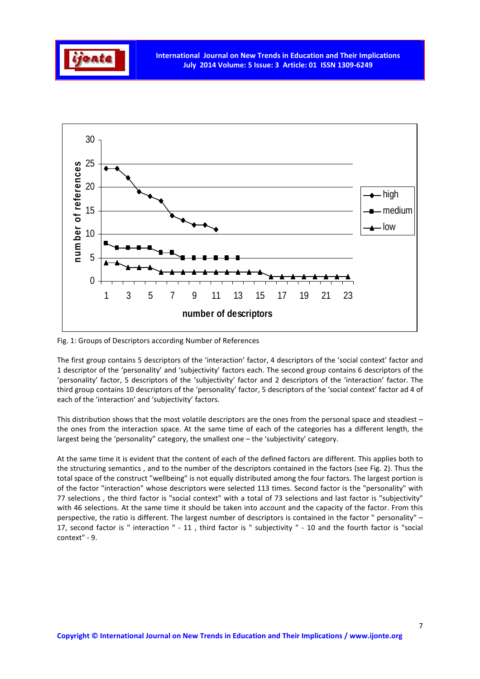



Fig. 1: Groups of Descriptors according Number of References

The first group contains 5 descriptors of the 'interaction' factor, 4 descriptors of the 'social context' factor and 1 descriptor of the 'personality' and 'subjectivity' factors each. The second group contains 6 descriptors of the 'personality' factor, 5 descriptors of the 'subjectivity' factor and 2 descriptors of the 'interaction' factor. The third group contains 10 descriptors of the 'personality' factor, 5 descriptors of the 'social context' factor ad 4 of each of the 'interaction' and 'subjectivity' factors.

This distribution shows that the most volatile descriptors are the ones from the personal space and steadiest – the ones from the interaction space. At the same time of each of the categories has a different length, the largest being the 'personality" category, the smallest one – the 'subjectivity' category.

At the same time it is evident that the content of each of the defined factors are different. This applies both to the structuring semantics , and to the number of the descriptors contained in the factors (see Fig. 2). Thus the total space of the construct "wellbeing" is not equally distributed among the four factors. The largest portion is of the factor "interaction" whose descriptors were selected 113 times. Second factor is the "personality" with 77 selections , the third factor is "social context" with a total of 73 selections and last factor is "subjectivity" with 46 selections. At the same time it should be taken into account and the capacity of the factor. From this perspective, the ratio is different. The largest number of descriptors is contained in the factor " personality" – 17, second factor is " interaction " - 11 , third factor is " subjectivity " - 10 and the fourth factor is "social context" - 9.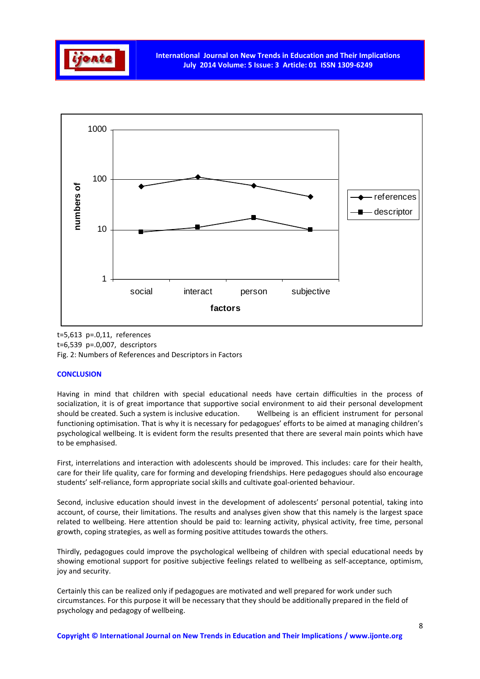



t=5,613 p=.0,11, references t=6,539 p=.0,007, descriptors Fig. 2: Numbers of References and Descriptors in Factors

# **CONCLUSION**

Having in mind that children with special educational needs have certain difficulties in the process of socialization, it is of great importance that supportive social environment to aid their personal development should be created. Such a system is inclusive education. Wellbeing is an efficient instrument for personal functioning optimisation. That is why it is necessary for pedagogues' efforts to be aimed at managing children's psychological wellbeing. It is evident form the results presented that there are several main points which have to be emphasised.

First, interrelations and interaction with adolescents should be improved. This includes: care for their health, care for their life quality, care for forming and developing friendships. Here pedagogues should also encourage students' self-reliance, form appropriate social skills and cultivate goal-oriented behaviour.

Second, inclusive education should invest in the development of adolescents' personal potential, taking into account, of course, their limitations. The results and analyses given show that this namely is the largest space related to wellbeing. Here attention should be paid to: learning activity, physical activity, free time, personal growth, coping strategies, as well as forming positive attitudes towards the others.

Thirdly, pedagogues could improve the psychological wellbeing of children with special educational needs by showing emotional support for positive subjective feelings related to wellbeing as self-acceptance, optimism, joy and security.

Certainly this can be realized only if pedagogues are motivated and well prepared for work under such circumstances. For this purpose it will be necessary that they should be additionally prepared in the field of psychology and pedagogy of wellbeing.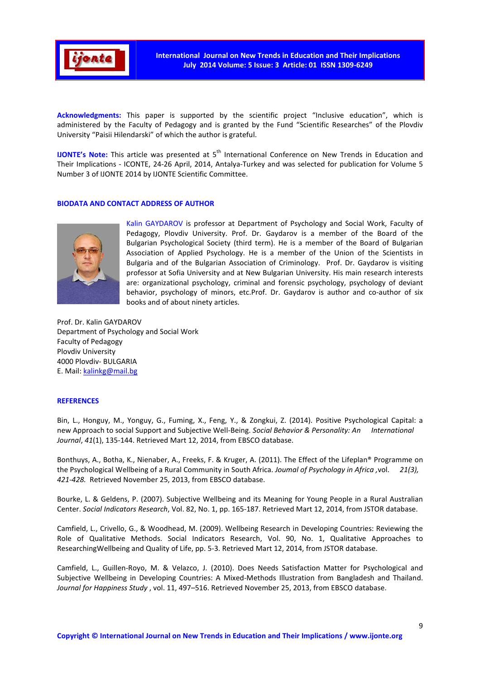

**Acknowledgments:** This paper is supported by the scientific project "Inclusive education", which is administered by the Faculty of Pedagogy and is granted by the Fund "Scientific Researches" of the Plovdiv University "Paisii Hilendarski" of which the author is grateful.

**IJONTE's Note:** This article was presented at 5<sup>th</sup> International Conference on New Trends in Education and Their Implications - ICONTE, 24-26 April, 2014, Antalya-Turkey and was selected for publication for Volume 5 Number 3 of IJONTE 2014 by IJONTE Scientific Committee.

## **BIODATA AND CONTACT ADDRESS OF AUTHOR**



Kalin GAYDAROV is professor at Department of Psychology and Social Work, Faculty of Pedagogy, Plovdiv University. Prof. Dr. Gaydarov is a member of the Board of the Bulgarian Psychological Society (third term). He is a member of the Board of Bulgarian Association of Applied Psychology. He is a member of the Union of the Scientists in Bulgaria and of the Bulgarian Association of Criminology. Prof. Dr. Gaydarov is visiting professor at Sofia University and at New Bulgarian University. His main research interests are: organizational psychology, criminal and forensic psychology, psychology of deviant behavior, psychology of minors, etc.Prof. Dr. Gaydarov is author and co-author of six books and of about ninety articles.

Prof. Dr. Kalin GAYDAROV Department of Psychology and Social Work Faculty of Pedagogy Plovdiv University 4000 Plovdiv- BULGARIA E. Mail: kalinkg@mail.bg

#### **REFERENCES**

Bin, L., Honguy, M., Yonguy, G., Fuming, X., Feng, Y., & Zongkui, Z. (2014). Positive Psychological Capital: a new Approach to social Support and Subjective Well-Being. *Social Behavior & Personality: An International Journal*, *41*(1), 135-144. Retrieved Mart 12, 2014, from EBSCO database.

Bonthuys, A., Botha, K., Nienaber, A., Freeks, F. & Kruger, A. (2011). The Effect of the Lifeplan® Programme on the Psychological Wellbeing of a Rural Community in South Africa. *Joumal of Psychology in Africa ,*vol. *21(3), 421-428.* Retrieved November 25, 2013, from EBSCO database.

Bourke, L. & Geldens, P. (2007). Subjective Wellbeing and its Meaning for Young People in a Rural Australian Center. *Social Indicators Research*, Vol. 82, No. 1, pp. 165-187. Retrieved Mart 12, 2014, from JSTOR database.

Camfield, L., Crivello, G., & Woodhead, M. (2009). Wellbeing Research in Developing Countries: Reviewing the Role of Qualitative Methods. Social Indicators Research, Vol. 90, No. 1, Qualitative Approaches to ResearchingWellbeing and Quality of Life, pp. 5-3. Retrieved Mart 12, 2014, from JSTOR database.

Camfield, L., Guillen-Royo, M. & Velazco, J. (2010). Does Needs Satisfaction Matter for Psychological and Subjective Wellbeing in Developing Countries: A Mixed-Methods Illustration from Bangladesh and Thailand. *Journal for Happiness Study* , vol. 11, 497–516. Retrieved November 25, 2013, from EBSCO database.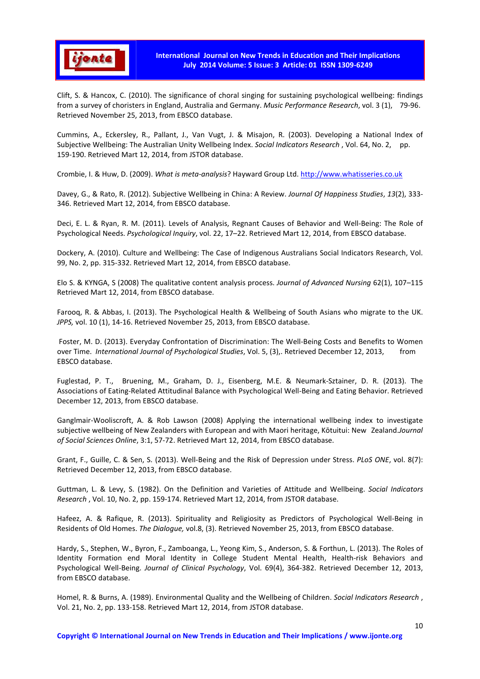

Clift, S. & Hancox, C. (2010). The significance of choral singing for sustaining psychological wellbeing: findings from a survey of choristers in England, Australia and Germany. *Music Performance Research*, vol. 3 (1), 79-96. Retrieved November 25, 2013, from EBSCO database.

Cummins, А., Eckersley, R., Pallant, J., Van Vugt, J. & Misajon, R. (2003). Developing a National Index of Subjective Wellbeing: The Australian Unity Wellbeing Index. *Social Indicators Research* , Vol. 64, No. 2, pp. 159-190. Retrieved Mart 12, 2014, from JSTOR database.

Crombie, I. & Huw, D. (2009). *What is meta-analysis*? Hayward Group Ltd. http://www.whatisseries.co.uk

Davey, G., & Rato, R. (2012). Subjective Wellbeing in China: A Review. *Journal Of Happiness Studies*, *13*(2), 333- 346. Retrieved Mart 12, 2014, from EBSCO database.

Deci, E. L. & Ryan, R. M. (2011). Levels of Analysis, Regnant Causes of Behavior and Well-Being: The Role of Psychological Needs. *Psychological Inquiry*, vol. 22, 17–22. Retrieved Mart 12, 2014, from EBSCO database.

Dockery, A. (2010). Culture and Wellbeing: The Case of Indigenous Australians Social Indicators Research, Vol. 99, No. 2, pp. 315-332. Retrieved Mart 12, 2014, from EBSCO database.

Elo S. & KYNGA, S (2008) The qualitative content analysis process. *Journal of Advanced Nursing* 62(1), 107–115 Retrieved Mart 12, 2014, from EBSCO database.

Farooq, R. & Abbas, I. (2013). The Psychological Health & Wellbeing of South Asians who migrate to the UK. *JPPS,* vol. 10 (1), 14-16. Retrieved November 25, 2013, from EBSCO database.

 Foster, M. D. (2013). Everyday Confrontation of Discrimination: The Well-Being Costs and Benefits to Women over Time. *International Journal of Psychological Studies*, Vol. 5, (3),. Retrieved December 12, 2013, from EBSCO database.

Fuglestad, P. T., Bruening, M., Graham, D. J., Eisenberg, M.E. & Neumark-Sztainer, D. R. (2013). The Associations of Eating-Related Attitudinal Balance with Psychological Well-Being and Eating Behavior. Retrieved December 12, 2013, from EBSCO database.

Ganglmair-Wooliscroft, A. & Rob Lawson (2008) Applying the international wellbeing index to investigate subjective wellbeing of New Zealanders with European and with Maori heritage, Kōtuitui: New Zealand.*Journal of Social Sciences Online*, 3:1, 57-72. Retrieved Mart 12, 2014, from EBSCO database.

Grant, F., Guille, C. & Sen, S. (2013). Well-Being and the Risk of Depression under Stress. *PLoS ONE*, vol. 8(7): Retrieved December 12, 2013, from EBSCO database.

Guttman, L. & Levy, S. (1982). On the Definition and Varieties of Attitude and Wellbeing. *Social Indicators Research* , Vol. 10, No. 2, pp. 159-174. Retrieved Mart 12, 2014, from JSTOR database.

Hafeez, A. & Rafique, R. (2013). Spirituality and Religiosity as Predictors of Psychological Well-Being in Residents of Old Homes. *The Dialogue,* vol.8, (3). Retrieved November 25, 2013, from EBSCO database.

Hardy, S., Stephen, W., Byron, F., Zamboanga, L., Yeong Kim, S., Anderson, S. & Forthun, L. (2013). The Roles of Identity Formation end Moral Identity in College Student Mental Health, Health-risk Behaviors and Psychological Well-Being. *Journal of Clinical Psychology*, Vol. 69(4), 364-382. Retrieved December 12, 2013, from EBSCO database.

Homel, R. & Burns, A. (1989). Environmental Quality and the Wellbeing of Children. *Social Indicators Research* , Vol. 21, No. 2, pp. 133-158. Retrieved Mart 12, 2014, from JSTOR database.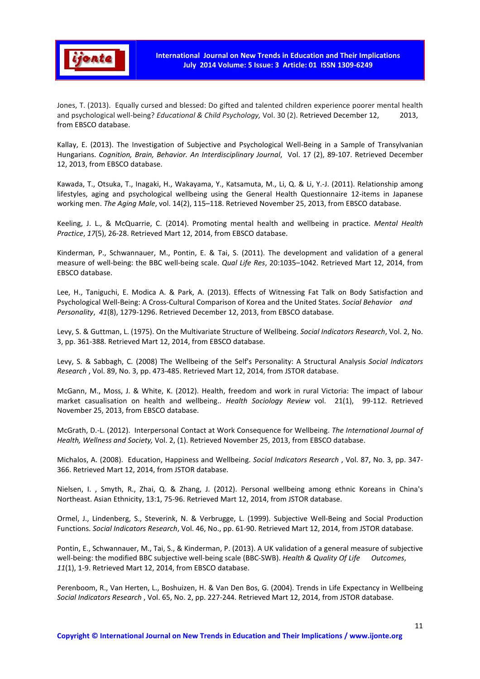

Jones, T. (2013). Equally cursed and blessed: Do gifted and talented children experience poorer mental health and psychological well-being? *Educational & Child Psychology,* Vol. 30 (2). Retrieved December 12, 2013, from EBSCO database.

Kallay, E. (2013). The Investigation of Subjective and Psychological Well-Being in a Sample of Transylvanian Hungarians. *Cognition, Brain, Behavior. An Interdisciplinary Journal*, Vol. 17 (2), 89-107. Retrieved December 12, 2013, from EBSCO database.

Kawada, T., Otsuka, T., Inagaki, H., Wakayama, Y., Katsamuta, M., Li, Q. & Li, Y.-J. (2011). Relationship among lifestyles, aging and psychological wellbeing using the General Health Questionnaire 12-items in Japanese working men. *The Aging Male*, vol. 14(2), 115–118. Retrieved November 25, 2013, from EBSCO database.

Keeling, J. L., & McQuarrie, C. (2014). Promoting mental health and wellbeing in practice. *Mental Health Practice*, *17*(5), 26-28. Retrieved Mart 12, 2014, from EBSCO database.

Kinderman, P., Schwannauer, M., Pontin, E. & Tai, S. (2011). The development and validation of a general measure of well-being: the BBC well-being scale. *Qual Life Res*, 20:1035–1042. Retrieved Mart 12, 2014, from EBSCO database.

Lee, H., Taniguchi, E. Modica A. & Park, A. (2013). Effects of Witnessing Fat Talk on Body Satisfaction and Psychological Well-Being: A Cross-Cultural Comparison of Korea and the United States. *Social Behavior and Personality*, *41*(8), 1279-1296. Retrieved December 12, 2013, from EBSCO database.

Levy, S. & Guttman, L. (1975). On the Multivariate Structure of Wellbeing. *Social Indicators Research*, Vol. 2, No. 3, pp. 361-388. Retrieved Mart 12, 2014, from EBSCO database.

Levy, S. & Sabbagh, C. (2008) The Wellbeing of the Self's Personality: A Structural Analysis *Social Indicators Research* , Vol. 89, No. 3, pp. 473-485. Retrieved Mart 12, 2014, from JSTOR database.

McGann, M., Moss, J. & White, K. (2012). Health, freedom and work in rural Victoria: The impact of labour market casualisation on health and wellbeing.. *Health Sociology Review* vol. 21(1), 99-112. Retrieved November 25, 2013, from EBSCO database.

McGrath, D.-L. (2012). Interpersonal Contact at Work Consequence for Wellbeing. *The International Journal of Health, Wellness and Society,* Vol. 2, (1). Retrieved November 25, 2013, from EBSCO database.

Michalos, А. (2008). Education, Happiness and Wellbeing. *Social Indicators Research* , Vol. 87, No. 3, pp. 347- 366. Retrieved Mart 12, 2014, from JSTOR database.

Nielsen, I. , Smyth, R., Zhai, Q. & Zhang, J. (2012). Personal wellbeing among ethnic Koreans in China's Northeast. Asian Ethnicity, 13:1, 75-96. Retrieved Mart 12, 2014, from JSTOR database.

Ormel, J., Lindenberg, S., Steverink, N. & Verbrugge, L. (1999). Subjective Well-Being and Social Production Functions. *Social Indicators Research*, Vol. 46, No., pp. 61-90. Retrieved Mart 12, 2014, from JSTOR database.

Pontin, E., Schwannauer, M., Tai, S., & Kinderman, P. (2013). A UK validation of a general measure of subjective well-being: the modified BBC subjective well-being scale (BBC-SWB). *Health & Quality Of Life Outcomes*, *11*(1), 1-9. Retrieved Mart 12, 2014, from EBSCO database.

Perenboom, R., Van Herten, L., Boshuizen, H. & Van Den Bos, G. (2004). Trends in Life Expectancy in Wellbeing *Social Indicators Research* , Vol. 65, No. 2, pp. 227-244. Retrieved Mart 12, 2014, from JSTOR database.